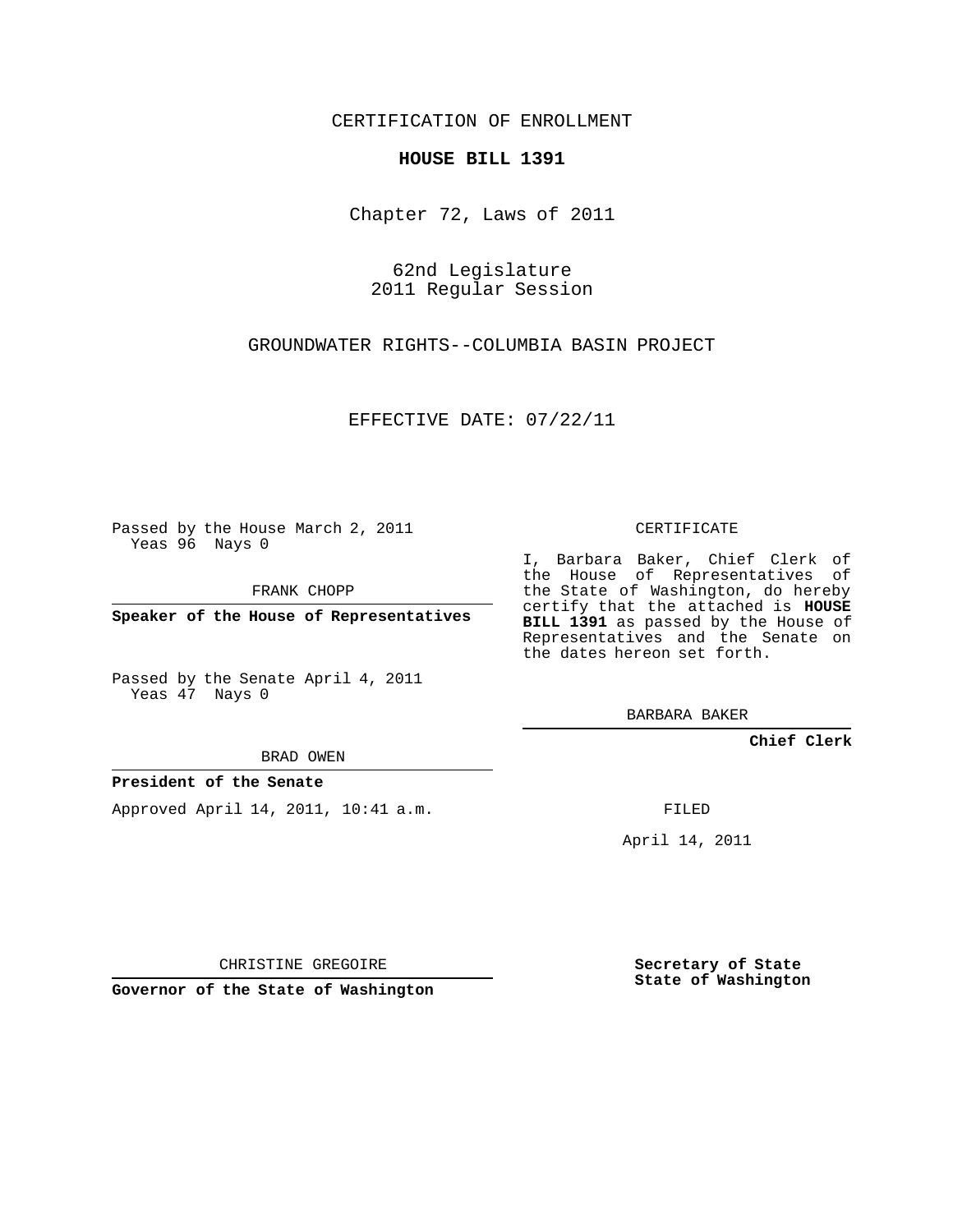CERTIFICATION OF ENROLLMENT

## **HOUSE BILL 1391**

Chapter 72, Laws of 2011

62nd Legislature 2011 Regular Session

GROUNDWATER RIGHTS--COLUMBIA BASIN PROJECT

EFFECTIVE DATE: 07/22/11

Passed by the House March 2, 2011 Yeas 96 Nays 0

FRANK CHOPP

**Speaker of the House of Representatives**

Passed by the Senate April 4, 2011 Yeas 47 Nays 0

BRAD OWEN

## **President of the Senate**

Approved April 14, 2011, 10:41 a.m.

CERTIFICATE

I, Barbara Baker, Chief Clerk of the House of Representatives of the State of Washington, do hereby certify that the attached is **HOUSE BILL 1391** as passed by the House of Representatives and the Senate on the dates hereon set forth.

BARBARA BAKER

**Chief Clerk**

FILED

April 14, 2011

CHRISTINE GREGOIRE

**Governor of the State of Washington**

**Secretary of State State of Washington**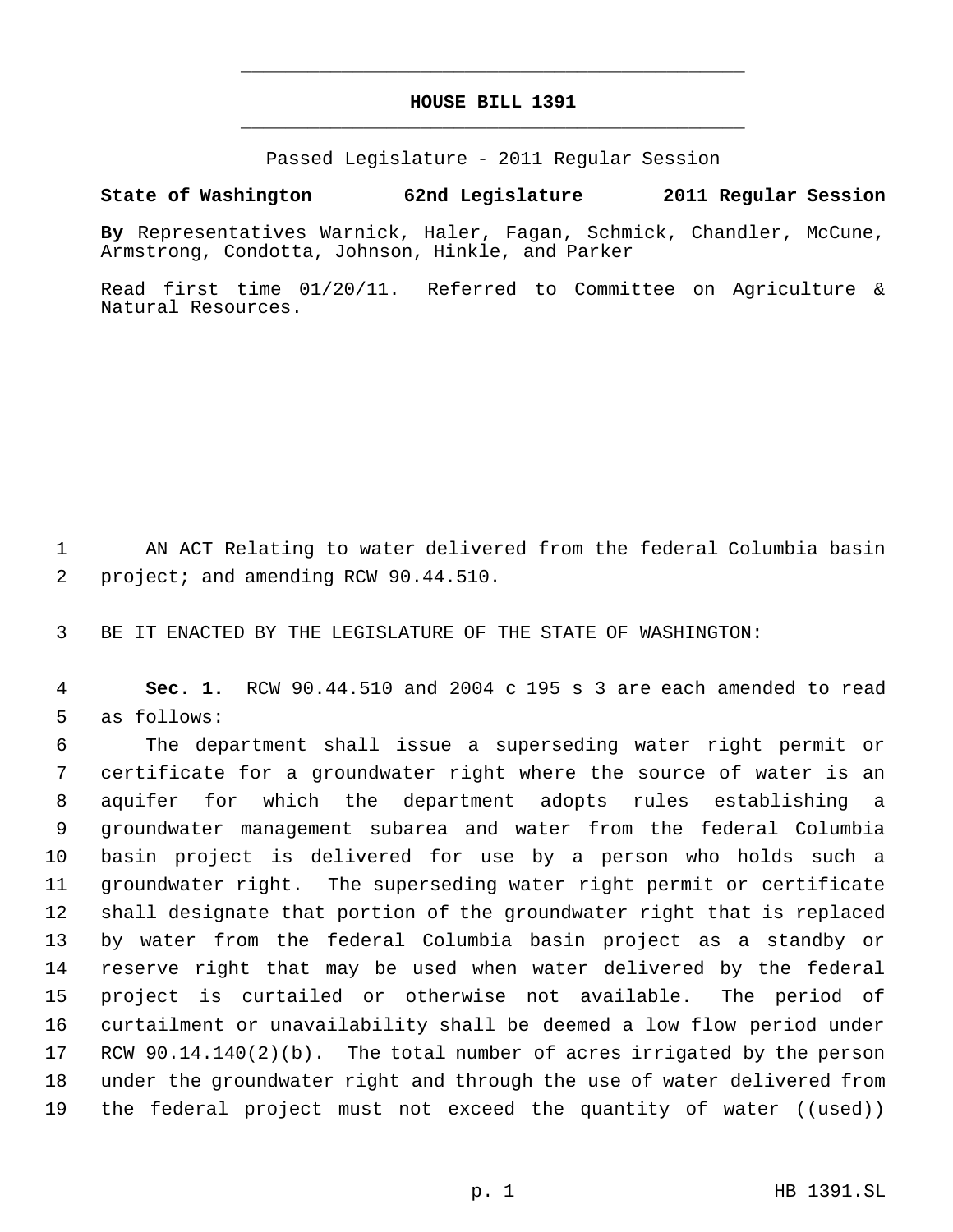## **HOUSE BILL 1391** \_\_\_\_\_\_\_\_\_\_\_\_\_\_\_\_\_\_\_\_\_\_\_\_\_\_\_\_\_\_\_\_\_\_\_\_\_\_\_\_\_\_\_\_\_

\_\_\_\_\_\_\_\_\_\_\_\_\_\_\_\_\_\_\_\_\_\_\_\_\_\_\_\_\_\_\_\_\_\_\_\_\_\_\_\_\_\_\_\_\_

Passed Legislature - 2011 Regular Session

## **State of Washington 62nd Legislature 2011 Regular Session**

**By** Representatives Warnick, Haler, Fagan, Schmick, Chandler, McCune, Armstrong, Condotta, Johnson, Hinkle, and Parker

Read first time 01/20/11. Referred to Committee on Agriculture & Natural Resources.

 AN ACT Relating to water delivered from the federal Columbia basin project; and amending RCW 90.44.510.

BE IT ENACTED BY THE LEGISLATURE OF THE STATE OF WASHINGTON:

 **Sec. 1.** RCW 90.44.510 and 2004 c 195 s 3 are each amended to read as follows:

 The department shall issue a superseding water right permit or certificate for a groundwater right where the source of water is an aquifer for which the department adopts rules establishing a groundwater management subarea and water from the federal Columbia basin project is delivered for use by a person who holds such a groundwater right. The superseding water right permit or certificate shall designate that portion of the groundwater right that is replaced by water from the federal Columbia basin project as a standby or reserve right that may be used when water delivered by the federal project is curtailed or otherwise not available. The period of curtailment or unavailability shall be deemed a low flow period under RCW 90.14.140(2)(b). The total number of acres irrigated by the person under the groundwater right and through the use of water delivered from 19 the federal project must not exceed the quantity of water ((used))